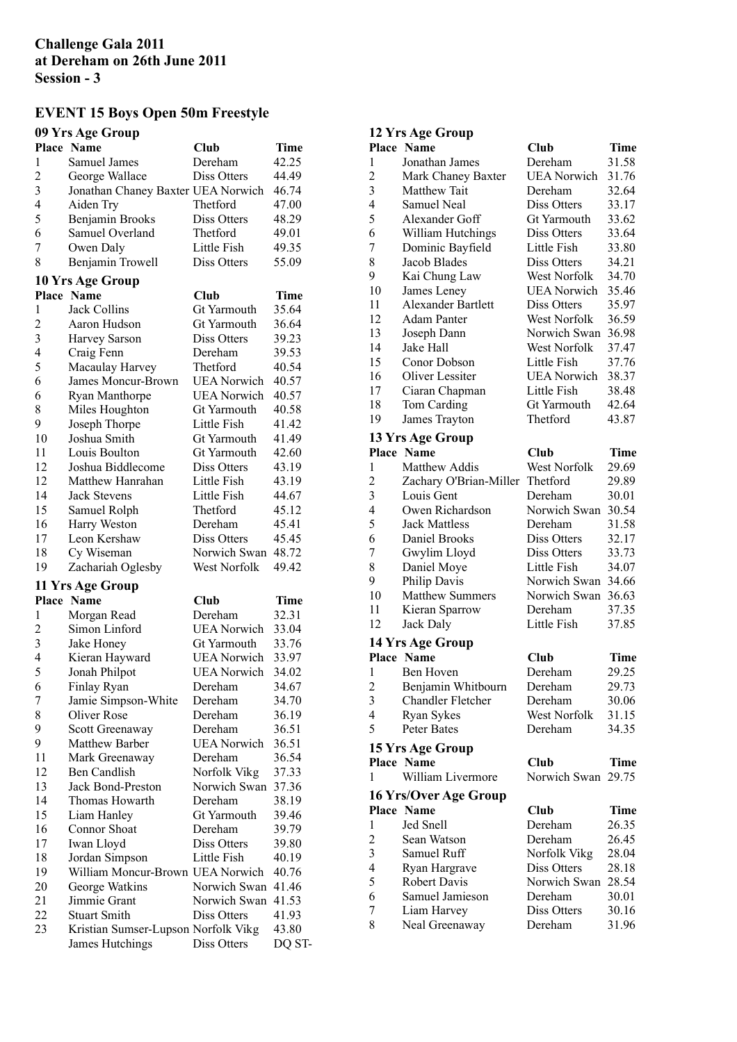## **Challenge Gala 2011 at Dereham on 26th June 2011 Session - 3**

## **EVENT 15 Boys Open 50m Freestyle**

# **09 Yrs Age Group**

|                | $\mathbf{u}$<br>Place Name          | Club               | Time        |
|----------------|-------------------------------------|--------------------|-------------|
| 1              | Samuel James                        | Dereham            | 42.25       |
| $\overline{c}$ |                                     |                    |             |
|                | George Wallace                      | Diss Otters        | 44.49       |
| 3              | Jonathan Chaney Baxter UEA Norwich  |                    | 46.74       |
| 4              | Aiden Try                           | Thetford           | 47.00       |
| 5              | Benjamin Brooks                     | Diss Otters        | 48.29       |
| 6              | Samuel Overland                     | Thetford           | 49.01       |
| 7              | Owen Daly                           | Little Fish        | 49.35       |
| 8              | Benjamin Trowell                    | Diss Otters        | 55.09       |
|                | 10 Yrs Age Group                    |                    |             |
|                | Place Name                          | Club               | <b>Time</b> |
| 1              | <b>Jack Collins</b>                 | Gt Yarmouth        | 35.64       |
| $\overline{c}$ | Aaron Hudson                        | Gt Yarmouth        | 36.64       |
| 3              | <b>Harvey Sarson</b>                | Diss Otters        | 39.23       |
| 4              | Craig Fenn                          | Dereham            | 39.53       |
| 5              | Macaulay Harvey                     | Thetford           | 40.54       |
| 6              | James Moncur-Brown                  | <b>UEA</b> Norwich | 40.57       |
| 6              | <b>Ryan Manthorpe</b>               | <b>UEA Norwich</b> | 40.57       |
| 8              | Miles Houghton                      | Gt Yarmouth        | 40.58       |
| 9              | Joseph Thorpe                       | Little Fish        | 41.42       |
| 10             | Joshua Smith                        | Gt Yarmouth        | 41.49       |
|                | Louis Boulton                       |                    |             |
| 11             |                                     | Gt Yarmouth        | 42.60       |
| 12             | Joshua Biddlecome                   | Diss Otters        | 43.19       |
| 12             | Matthew Hanrahan                    | Little Fish        | 43.19       |
| 14             | <b>Jack Stevens</b>                 | Little Fish        | 44.67       |
| 15             | Samuel Rolph                        | Thetford           | 45.12       |
| 16             | Harry Weston                        | Dereham            | 45.41       |
| 17             | Leon Kershaw                        | Diss Otters        | 45.45       |
| 18             | Cy Wiseman                          | Norwich Swan       | 48.72       |
| 19             | Zachariah Oglesby                   | West Norfolk       | 49.42       |
|                | 11 Yrs Age Group                    |                    |             |
|                | Place Name                          | Club               | Time        |
| 1              | Morgan Read                         | Dereham            | 32.31       |
| $\overline{c}$ | Simon Linford                       | <b>UEA</b> Norwich | 33.04       |
| 3              | Jake Honey                          | Gt Yarmouth        | 33.76       |
| 4              | Kieran Hayward                      | <b>UEA</b> Norwich | 33.97       |
| 5              | Jonah Philpot                       | <b>UEA Norwich</b> | 34.02       |
| 6              | Finlay Ryan                         | Dereham            | 34.67       |
| 7              | Jamie Simpson-White                 | Dereham            | 34.70       |
| 8              | Oliver Rose                         | Dereham            | 36.19       |
| 9              | Scott Greenaway                     | Dereham            | 36.51       |
| 9              | Matthew Barber                      | <b>UEA</b> Norwich | 36.51       |
| 11             | Mark Greenaway                      | Dereham            | 36.54       |
| 12             | Ben Candlish                        | Norfolk Vikg       | 37.33       |
| 13             | <b>Jack Bond-Preston</b>            | Norwich Swan       | 37.36       |
|                | Thomas Howarth                      | Dereham            |             |
| 14             |                                     |                    | 38.19       |
| 15             | Liam Hanley                         | Gt Yarmouth        | 39.46       |
| 16             | Connor Shoat                        | Dereham            | 39.79       |
| 17             | Iwan Lloyd                          | Diss Otters        | 39.80       |
| 18             | Jordan Simpson                      | Little Fish        | 40.19       |
| 19             | William Moncur-Brown UEA Norwich    |                    | 40.76       |
| 20             | George Watkins                      | Norwich Swan       | 41.46       |
| 21             | Jimmie Grant                        | Norwich Swan       | 41.53       |
| 22             | <b>Stuart Smith</b>                 | Diss Otters        | 41.93       |
| 23             | Kristian Sumser-Lupson Norfolk Vikg |                    | 43.80       |
|                | James Hutchings                     | Diss Otters        | DQ ST-      |

# **12 Yrs Age Group**

|                          | Place Name                             | Club               | Time        |
|--------------------------|----------------------------------------|--------------------|-------------|
| 1                        | Jonathan James                         | Dereham            | 31.58       |
| $\overline{c}$           | Mark Chaney Baxter                     | <b>UEA Norwich</b> | 31.76       |
| 3                        | Matthew Tait                           | Dereham            | 32.64       |
| $\overline{4}$           | Samuel Neal                            | Diss Otters        | 33.17       |
| 5                        | Alexander Goff                         | <b>Gt Yarmouth</b> | 33.62       |
| 6                        | William Hutchings                      | Diss Otters        | 33.64       |
| 7                        | Dominic Bayfield                       | Little Fish        | 33.80       |
| 8                        | Jacob Blades                           | Diss Otters        | 34.21       |
| 9                        | Kai Chung Law                          | West Norfolk       | 34.70       |
| 10                       | James Leney                            | <b>UEA Norwich</b> | 35.46       |
| 11                       | Alexander Bartlett                     | Diss Otters        | 35.97       |
| 12                       | <b>Adam Panter</b>                     | West Norfolk       | 36.59       |
| 13                       | Joseph Dann                            | Norwich Swan       | 36.98       |
| 14                       | Jake Hall                              | West Norfolk       | 37.47       |
| 15                       | Conor Dobson                           | Little Fish        | 37.76       |
| 16                       | Oliver Lessiter                        | <b>UEA Norwich</b> | 38.37       |
| 17                       | Ciaran Chapman                         | Little Fish        | 38.48       |
| 18                       | Tom Carding                            | Gt Yarmouth        | 42.64       |
| 19                       | James Trayton                          | Thetford           | 43.87       |
|                          | 13 Yrs Age Group                       |                    |             |
|                          | <b>Place Name</b>                      | Club               | Time        |
| 1                        | Matthew Addis                          | West Norfolk       | 29.69       |
| $\overline{\mathbf{c}}$  | Zachary O'Brian-Miller                 | Thetford           | 29.89       |
| 3                        | Louis Gent                             | Dereham            | 30.01       |
| 4                        | Owen Richardson                        | Norwich Swan       | 30.54       |
| 5                        | <b>Jack Mattless</b>                   | Dereham            | 31.58       |
| 6                        | Daniel Brooks                          | Diss Otters        | 32.17       |
| 7                        | Gwylim Lloyd                           | Diss Otters        | 33.73       |
| 8                        | Daniel Moye                            | Little Fish        | 34.07       |
| 9                        | Philip Davis                           | Norwich Swan       | 34.66       |
| 10                       | <b>Matthew Summers</b>                 | Norwich Swan       | 36.63       |
| 11                       | Kieran Sparrow                         | Dereham            | 37.35       |
| 12                       | Jack Daly                              | Little Fish        | 37.85       |
|                          | 14 Yrs Age Group                       |                    |             |
|                          | Place Name                             | Club               | Time        |
| 1                        | Ben Hoven                              | Dereham            | 29.25       |
| $\overline{c}$           | Benjamin Whitbourn                     | Dereham            | 29.73       |
| 3                        | <b>Chandler Fletcher</b>               | Dereham            | 30.06       |
| 4                        | Ryan Sykes                             | West Norfolk       | 31.15       |
| 5                        | Peter Bates                            | Dereham            | 34.35       |
|                          |                                        |                    |             |
|                          | 15 Yrs Age Group                       |                    |             |
|                          | <b>Place Name</b><br>William Livermore | Club               | Time        |
| 1                        |                                        | Norwich Swan       | 29.75       |
|                          | 16 Yrs/Over Age Group                  |                    |             |
|                          | <b>Place Name</b>                      | Club               | <b>Time</b> |
| $\mathbf{1}$             | Jed Snell                              | Dereham            | 26.35       |
| $\overline{\mathbf{c}}$  | Sean Watson                            | Dereham            | 26.45       |
| 3                        | Samuel Ruff                            | Norfolk Vikg       | 28.04       |
| $\overline{\mathcal{L}}$ | Ryan Hargrave                          | Diss Otters        | 28.18       |
| 5                        | Robert Davis                           | Norwich Swan       | 28.54       |
| 6                        | Samuel Jamieson                        | Dereham            | 30.01       |
| 7                        | Liam Harvey                            | Diss Otters        | 30.16       |
| 8                        | Neal Greenaway                         | Dereham            | 31.96       |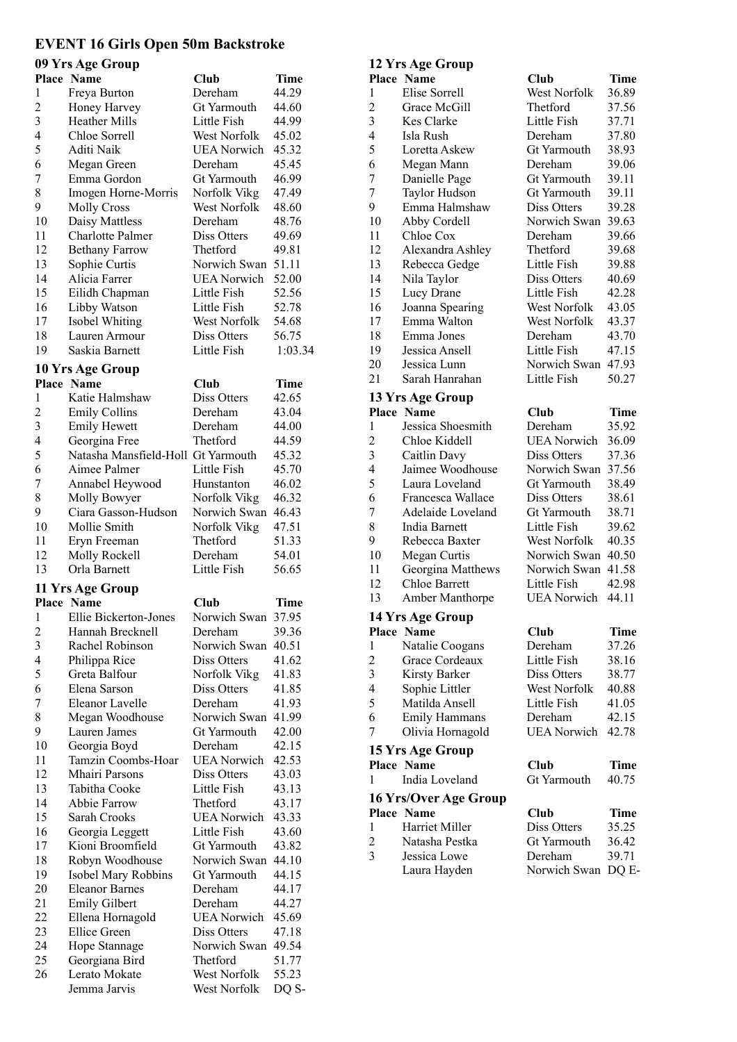# **EVENT 16 Girls Open 50m Backstroke**

## **00 Vrs**  $\Lambda$ go **C**r

|                          | 09 Yrs Age Group                   |                     |             |
|--------------------------|------------------------------------|---------------------|-------------|
|                          | <b>Place Name</b>                  | <b>Club</b>         | <b>Time</b> |
| 1                        | Freya Burton                       | Dereham             | 44.29       |
| $\overline{c}$           | Honey Harvey                       | <b>Gt Yarmouth</b>  | 44.60       |
| 3                        | <b>Heather Mills</b>               | Little Fish         | 44.99       |
| $\overline{\mathcal{L}}$ | Chloe Sorrell                      | West Norfolk        | 45.02       |
| 5                        | Aditi Naik                         | <b>UEA</b> Norwich  | 45.32       |
| 6                        | Megan Green                        | Dereham             | 45.45       |
| 7                        | Emma Gordon                        | Gt Yarmouth         | 46.99       |
| 8                        | Imogen Horne-Morris                | Norfolk Vikg        | 47.49       |
| 9                        | <b>Molly Cross</b>                 | <b>West Norfolk</b> | 48.60       |
| 10                       | Daisy Mattless                     | Dereham             | 48.76       |
| 11                       | <b>Charlotte Palmer</b>            | Diss Otters         | 49.69       |
| 12                       | <b>Bethany Farrow</b>              | Thetford            | 49.81       |
| 13                       | Sophie Curtis                      | Norwich Swan        | 51.11       |
| 14                       | Alicia Farrer                      | <b>UEA Norwich</b>  | 52.00       |
| 15                       | Eilidh Chapman                     | Little Fish         | 52.56       |
| 16                       | Libby Watson                       | Little Fish         | 52.78       |
| 17                       | Isobel Whiting                     | West Norfolk        | 54.68       |
| 18                       | Lauren Armour                      | Diss Otters         | 56.75       |
| 19                       | Saskia Barnett                     | Little Fish         | 1:03.34     |
|                          |                                    |                     |             |
|                          | 10 Yrs Age Group                   |                     |             |
|                          | <b>Place Name</b>                  | Club                | <b>Time</b> |
| $\mathbf{1}$             | Katie Halmshaw                     | Diss Otters         | 42.65       |
| $\overline{c}$           | <b>Emily Collins</b>               | Dereham             | 43.04       |
| 3                        | <b>Emily Hewett</b>                | Dereham             | 44.00       |
| 4                        | Georgina Free                      | Thetford            | 44.59       |
| 5                        | Natasha Mansfield-Holl Gt Yarmouth |                     | 45.32       |
| 6                        | Aimee Palmer                       | Little Fish         | 45.70       |
| 7                        | Annabel Heywood                    | Hunstanton          | 46.02       |
| 8                        | Molly Bowyer                       | Norfolk Vikg        | 46.32       |
| 9                        | Ciara Gasson-Hudson                | Norwich Swan        | 46.43       |
| 10                       | Mollie Smith                       | Norfolk Vikg        | 47.51       |
| 11                       | Eryn Freeman                       | Thetford            | 51.33       |
| 12                       | Molly Rockell                      | Dereham             | 54.01       |
| 13                       | Orla Barnett                       | Little Fish         | 56.65       |
|                          | 11 Yrs Age Group                   |                     |             |
|                          | <b>Place Name</b>                  | Club                | Time        |
| 1                        | Ellie Bickerton-Jones              | Norwich Swan        | 37.95       |
| $\overline{\mathbf{c}}$  | Hannah Brecknell                   | Dereham             | 39.36       |
| 3                        | Rachel Robinson                    | Norwich Swan        | 40.51       |
| $\overline{\mathcal{L}}$ | Philippa Rice                      | Diss Otters         | 41.62       |
| 5                        | Greta Balfour                      | Norfolk Vikg        | 41.83       |
| 6                        | Elena Sarson                       | Diss Otters         | 41.85       |
| 7                        | Eleanor Lavelle                    | Dereham             | 41.93       |
| 8                        | Megan Woodhouse                    | Norwich Swan        | 41.99       |
| 9                        | Lauren James                       | Gt Yarmouth         | 42.00       |
| 10                       | Georgia Boyd                       | Dereham             | 42.15       |
| 11                       | Tamzin Coombs-Hoar                 | <b>UEA Norwich</b>  | 42.53       |
| 12                       | Mhairi Parsons                     | Diss Otters         | 43.03       |
| 13                       | Tabitha Cooke                      | Little Fish         | 43.13       |
| 14                       | Abbie Farrow                       | Thetford            | 43.17       |
| 15                       | Sarah Crooks                       | <b>UEA Norwich</b>  | 43.33       |
| 16                       | Georgia Leggett                    | Little Fish         | 43.60       |
| 17                       | Kioni Broomfield                   | Gt Yarmouth         | 43.82       |
| 18                       | Robyn Woodhouse                    | Norwich Swan        | 44.10       |
| 19                       | Isobel Mary Robbins                | Gt Yarmouth         | 44.15       |
| 20                       | <b>Eleanor Barnes</b>              | Dereham             | 44.17       |
| 21                       | <b>Emily Gilbert</b>               | Dereham             | 44.27       |
| 22                       | Ellena Hornagold                   | <b>UEA</b> Norwich  | 45.69       |
| 23                       | <b>Ellice Green</b>                | Diss Otters         | 47.18       |
| 24                       | Hope Stannage                      | Norwich Swan        | 49.54       |
| 25                       | Georgiana Bird                     | Thetford            | 51.77       |
| 26                       | Lerato Mokate                      | West Norfolk        | 55.23       |
|                          | Jemma Jarvis                       | West Norfolk        | DQ S-       |
|                          |                                    |                     |             |

# **12 Yrs Age Group**

|                         | Place Name            | Club               | <b>Time</b> |
|-------------------------|-----------------------|--------------------|-------------|
| 1                       | Elise Sorrell         | West Norfolk       | 36.89       |
| $\overline{\mathbf{c}}$ | Grace McGill          | Thetford           | 37.56       |
| 3                       | Kes Clarke            | Little Fish        | 37.71       |
| 4                       | Isla Rush             | Dereham            | 37.80       |
| 5                       | Loretta Askew         | Gt Yarmouth        | 38.93       |
| 6                       | Megan Mann            | Dereham            | 39.06       |
| 7                       | Danielle Page         | Gt Yarmouth        | 39.11       |
| 7                       | Taylor Hudson         | Gt Yarmouth        | 39.11       |
| 9                       | Emma Halmshaw         | Diss Otters        | 39.28       |
| 10                      | Abby Cordell          | Norwich Swan       | 39.63       |
| 11                      | Chloe Cox             | Dereham            | 39.66       |
| 12                      | Alexandra Ashley      | Thetford           | 39.68       |
| 13                      | Rebecca Gedge         | Little Fish        | 39.88       |
| 14                      | Nila Taylor           | Diss Otters        | 40.69       |
| 15                      | Lucy Drane            | Little Fish        | 42.28       |
| 16                      | Joanna Spearing       | West Norfolk       | 43.05       |
| 17                      | Emma Walton           | West Norfolk       | 43.37       |
| 18                      | Emma Jones            | Dereham            | 43.70       |
| 19                      | Jessica Ansell        | Little Fish        | 47.15       |
| 20                      | Jessica Lunn          | Norwich Swan       | 47.93       |
| 21                      | Sarah Hanrahan        | Little Fish        | 50.27       |
|                         | 13 Yrs Age Group      |                    |             |
|                         | Place Name            | Club               | Time        |
| 1                       | Jessica Shoesmith     | Dereham            | 35.92       |
| $\overline{c}$          | Chloe Kiddell         | <b>UEA</b> Norwich | 36.09       |
| 3                       | Caitlin Davy          | Diss Otters        | 37.36       |
| 4                       | Jaimee Woodhouse      | Norwich Swan       | 37.56       |
| 5                       | Laura Loveland        | Gt Yarmouth        | 38.49       |
| 6                       | Francesca Wallace     | Diss Otters        | 38.61       |
| 7                       | Adelaide Loveland     | Gt Yarmouth        | 38.71       |
| 8                       | India Barnett         | Little Fish        | 39.62       |
| 9                       | Rebecca Baxter        | West Norfolk       | 40.35       |
| 10                      | Megan Curtis          | Norwich Swan       | 40.50       |
| 11                      | Georgina Matthews     | Norwich Swan       | 41.58       |
| 12                      | Chloe Barrett         | Little Fish        | 42.98       |
| 13                      | Amber Manthorpe       | <b>UEA Norwich</b> | 44.11       |
|                         |                       |                    |             |
|                         | 14 Yrs Age Group      |                    |             |
|                         | Place Name            | Club               | Time        |
| 1                       | Natalie Coogans       | Dereham            | 37.26       |
| $\overline{\mathbf{c}}$ | Grace Cordeaux        | Little Fish        | 38.16       |
| 3                       | Kirsty Barker         | Diss Otters        | 38.77       |
| 4                       | Sophie Littler        | West Norfolk       | 40.88       |
| 5                       | Matilda Ansell        | Little Fish        | 41.05       |
| 6                       | <b>Emily Hammans</b>  | Dereham            | 42.15       |
| 7                       | Olivia Hornagold      | <b>UEA Norwich</b> | 42.78       |
|                         | 15 Yrs Age Group      |                    |             |
|                         | Place Name            | Club               | Time        |
| 1                       | India Loveland        | Gt Yarmouth        | 40.75       |
|                         | 16 Yrs/Over Age Group |                    |             |
|                         | Place Name            | <b>Club</b>        | Time        |
| 1                       | Harriet Miller        | Diss Otters        | 35.25       |
| 2                       | Natasha Pestka        | Gt Yarmouth        | 36.42       |
| 3                       | Jessica Lowe          | Dereham            | 39.71       |
|                         | Laura Hayden          | Norwich Swan DQ E- |             |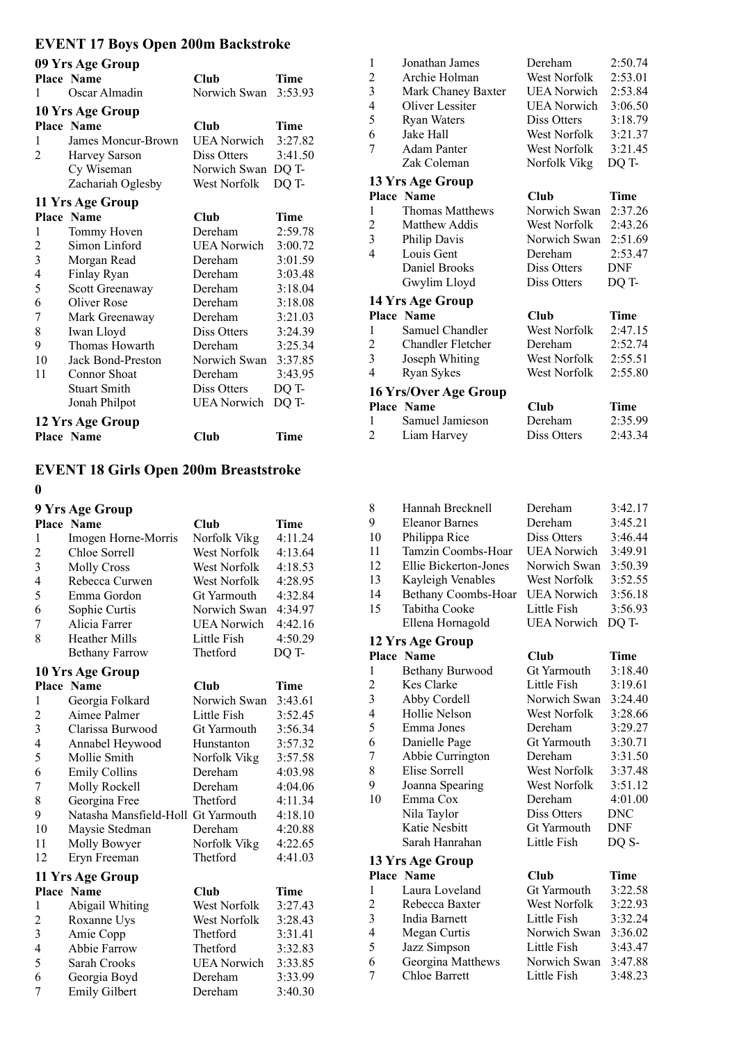# **EVENT 17 Boys Open 200m Backstroke**

| 09 Yrs Age Group        |                     |                     |         |  |
|-------------------------|---------------------|---------------------|---------|--|
|                         | Place Name          | Club                | Time    |  |
| 1                       | Oscar Almadin       | Norwich Swan        | 3:53.93 |  |
|                         | 10 Yrs Age Group    |                     |         |  |
|                         | <b>Place Name</b>   | Club                | Time    |  |
| 1                       | James Moncur-Brown  | <b>UEA Norwich</b>  | 3:27.82 |  |
| 2                       | Harvey Sarson       | Diss Otters         | 3:41.50 |  |
|                         | Cy Wiseman          | Norwich Swan        | DQ T-   |  |
|                         | Zachariah Oglesby   | <b>West Norfolk</b> | DQ T-   |  |
|                         | 11 Yrs Age Group    |                     |         |  |
|                         | Place Name          | Club                | Time    |  |
| 1                       | Tommy Hoven         | Dereham             | 2:59.78 |  |
| $\overline{c}$          | Simon Linford       | <b>UEA</b> Norwich  | 3:00.72 |  |
| $\overline{\mathbf{3}}$ | Morgan Read         | Dereham             | 3:01.59 |  |
| $\overline{4}$          | Finlay Ryan         | Dereham             | 3:03.48 |  |
| 5                       | Scott Greenaway     | Dereham             | 3:18.04 |  |
| 6                       | Oliver Rose         | Dereham             | 3:18.08 |  |
| 7                       | Mark Greenaway      | Dereham             | 3:21.03 |  |
| 8                       | Iwan Lloyd          | Diss Otters         | 3:24.39 |  |
| 9                       | Thomas Howarth      | Dereham             | 3:25.34 |  |
| 10                      | Jack Bond-Preston   | Norwich Swan        | 3:37.85 |  |
| 11                      | <b>Connor Shoat</b> | Dereham             | 3:43.95 |  |
|                         | <b>Stuart Smith</b> | Diss Otters         | DQ T-   |  |
|                         | Jonah Philpot       | <b>UEA</b> Norwich  | DQ T-   |  |
|                         | 12 Yrs Age Group    |                     |         |  |
|                         | Place Name          | Club                | Time    |  |

## **EVENT 18 Girls Open 200m Breaststroke**

#### 

| 9 Yrs Age Group         |                                    |                     |             |  |
|-------------------------|------------------------------------|---------------------|-------------|--|
|                         | Place Name                         | Club                | Time        |  |
| 1                       | Imogen Horne-Morris                | Norfolk Vikg        | 4:11.24     |  |
| $\overline{c}$          | Chloe Sorrell                      | West Norfolk        | 4:13.64     |  |
| $\overline{\mathbf{3}}$ | <b>Molly Cross</b>                 | West Norfolk        | 4:18.53     |  |
| $\overline{4}$          | Rebecca Curwen                     | <b>West Norfolk</b> | 4:28.95     |  |
| 5                       | Emma Gordon                        | <b>Gt Yarmouth</b>  | 4:32.84     |  |
| 6                       | Sophie Curtis                      | Norwich Swan        | 4:34.97     |  |
| 7                       | Alicia Farrer                      | <b>UEA Norwich</b>  | 4:42.16     |  |
| 8                       | <b>Heather Mills</b>               | Little Fish         | 4:50.29     |  |
|                         | <b>Bethany Farrow</b>              | Thetford            | DQ T-       |  |
|                         | 10 Yrs Age Group                   |                     |             |  |
|                         | Place Name                         | Club                | Time        |  |
| 1                       | Georgia Folkard                    | Norwich Swan        | 3:43.61     |  |
| $\overline{2}$          | Aimee Palmer                       | Little Fish         | 3:52.45     |  |
| 3                       | Clarissa Burwood                   | Gt Yarmouth         | 3:56.34     |  |
| 4                       | Annabel Heywood                    | Hunstanton          | 3:57.32     |  |
| 5                       | Mollie Smith                       | Norfolk Vikg        | 3:57.58     |  |
| 6                       | <b>Emily Collins</b>               | Dereham             | 4:03.98     |  |
| 7                       | Molly Rockell                      | Dereham             | 4:04.06     |  |
| 8                       | Georgina Free                      | Thetford            | 4:11.34     |  |
| 9                       | Natasha Mansfield-Holl Gt Yarmouth |                     | 4:18.10     |  |
| 10                      | Maysie Stedman                     | Dereham             | 4:20.88     |  |
| 11                      | Molly Bowyer                       | Norfolk Vikg        | 4:22.65     |  |
| 12                      | Eryn Freeman                       | Thetford            | 4:41.03     |  |
|                         | 11 Yrs Age Group                   |                     |             |  |
|                         | <b>Place Name</b>                  | <b>Club</b>         | <b>Time</b> |  |
| 1                       | Abigail Whiting                    | West Norfolk        | 3:27.43     |  |
| $\overline{c}$          | Roxanne Uys                        | <b>West Norfolk</b> | 3:28.43     |  |
| 3                       | Amie Copp                          | Thetford            | 3:31.41     |  |
| $\overline{4}$          | Abbie Farrow                       | Thetford            | 3:32.83     |  |
| 5                       | Sarah Crooks                       | <b>UEA Norwich</b>  | 3:33.85     |  |
| 6                       | Georgia Boyd                       | Dereham             | 3:33.99     |  |
| 7                       | <b>Emily Gilbert</b>               | Dereham             | 3:40.30     |  |

| $\mathbf{1}$   | Jonathan James           | Dereham              | 2:50.74     |
|----------------|--------------------------|----------------------|-------------|
| $\overline{c}$ | Archie Holman            | <b>West Norfolk</b>  | 2:53.01     |
| 3              | Mark Chaney Baxter       | <b>UEA Norwich</b>   | 2:53.84     |
| 4              | Oliver Lessiter          | UEA Norwich          | 3:06.50     |
| 5              | <b>Ryan Waters</b>       | Diss Otters          | 3:18.79     |
| 6              | Jake Hall                | West Norfolk         | 3:21.37     |
| 7              | <b>Adam Panter</b>       | West Norfolk         | 3:21.45     |
|                | Zak Coleman              | Norfolk Vikg         | DQ T-       |
|                | 13 Yrs Age Group         |                      |             |
|                | <b>Place Name</b>        | Club                 | Time        |
| 1              | <b>Thomas Matthews</b>   | Norwich Swan         | 2:37.26     |
| 2              | <b>Matthew Addis</b>     | West Norfolk         | 2:43.26     |
| 3              | Philip Davis             | Norwich Swan 2:51.69 |             |
| 4              | Louis Gent               | Dereham              | 2:53.47     |
|                | Daniel Brooks            | Diss Otters          | <b>DNF</b>  |
|                | Gwylim Lloyd             | Diss Otters          | DQ T-       |
|                | 14 Yrs Age Group         |                      |             |
|                | <b>Place Name</b>        | <b>Club</b>          | <b>Time</b> |
| 1              | Samuel Chandler          | West Norfolk         | 2:47.15     |
| 2              | <b>Chandler Fletcher</b> | Dereham              | 2:52.74     |
| 3              | Joseph Whiting           | West Norfolk         | 2:55.51     |
| 4              | Ryan Sykes               | West Norfolk         | 2:55.80     |
|                | 16 Yrs/Over Age Group    |                      |             |
|                | <b>Place Name</b>        | Club                 | Time        |
| 1              | Samuel Jamieson          | Dereham              | 2:35.99     |
| 2              | Liam Harvey              | Diss Otters          | 2:43.34     |

| 8              | Hannah Brecknell      | Dereham            | 3:42.17 |
|----------------|-----------------------|--------------------|---------|
| 9              | Eleanor Barnes        | Dereham            | 3:45.21 |
| 10             | Philippa Rice         | Diss Otters        | 3:46.44 |
| 11             | Tamzin Coombs-Hoar    | <b>UEA Norwich</b> | 3:49.91 |
| 12             | Ellie Bickerton-Jones | Norwich Swan       | 3:50.39 |
| 13             | Kayleigh Venables     | West Norfolk       | 3:52.55 |
| 14             | Bethany Coombs-Hoar   | <b>UEA Norwich</b> | 3:56.18 |
| 15             | Tabitha Cooke         | Little Fish        | 3:56.93 |
|                | Ellena Hornagold      | <b>UEA</b> Norwich | DO T-   |
|                | 12 Yrs Age Group      |                    |         |
|                | Place Name            | Club               | Time    |
| 1              | Bethany Burwood       | Gt Yarmouth        | 3:18.40 |
| $\overline{2}$ | <b>Kes Clarke</b>     | Little Fish        | 3:19.61 |
| 3              | Abby Cordell          | Norwich Swan       | 3:24.40 |
|                |                       |                    |         |

| 3  | Abby Cordell     | Norwich Swan       | 3:24.40    |
|----|------------------|--------------------|------------|
| 4  | Hollie Nelson    | West Norfolk       | 3:28.66    |
| 5  | Emma Jones       | Dereham            | 3:29.27    |
| 6  | Danielle Page    | <b>Gt Yarmouth</b> | 3:30.71    |
| 7  | Abbie Currington | Dereham            | 3:31.50    |
| 8  | Elise Sorrell    | West Norfolk       | 3:37.48    |
| 9  | Joanna Spearing  | West Norfolk       | 3:51.12    |
| 10 | Emma Cox         | Dereham            | 4:01.00    |
|    | Nila Taylor      | Diss Otters        | DNC        |
|    | Katie Nesbitt    | <b>Gt Yarmouth</b> | <b>DNF</b> |
|    | Sarah Hanrahan   | Little Fish        | DQ S-      |
|    | 13 Yrs Age Group |                    |            |

|   | Place Name        | Club         | Time    |
|---|-------------------|--------------|---------|
| 1 | Laura Loveland    | Gt Yarmouth  | 3:22.58 |
| 2 | Rebecca Baxter    | West Norfolk | 3:22.93 |
| 3 | India Barnett     | Little Fish  | 3:32.24 |
| 4 | Megan Curtis      | Norwich Swan | 3:36.02 |
| 5 | Jazz Simpson      | Little Fish  | 3:43.47 |
| 6 | Georgina Matthews | Norwich Swan | 3:47.88 |
| 7 | Chloe Barrett     | Little Fish  | 3:48.23 |
|   |                   |              |         |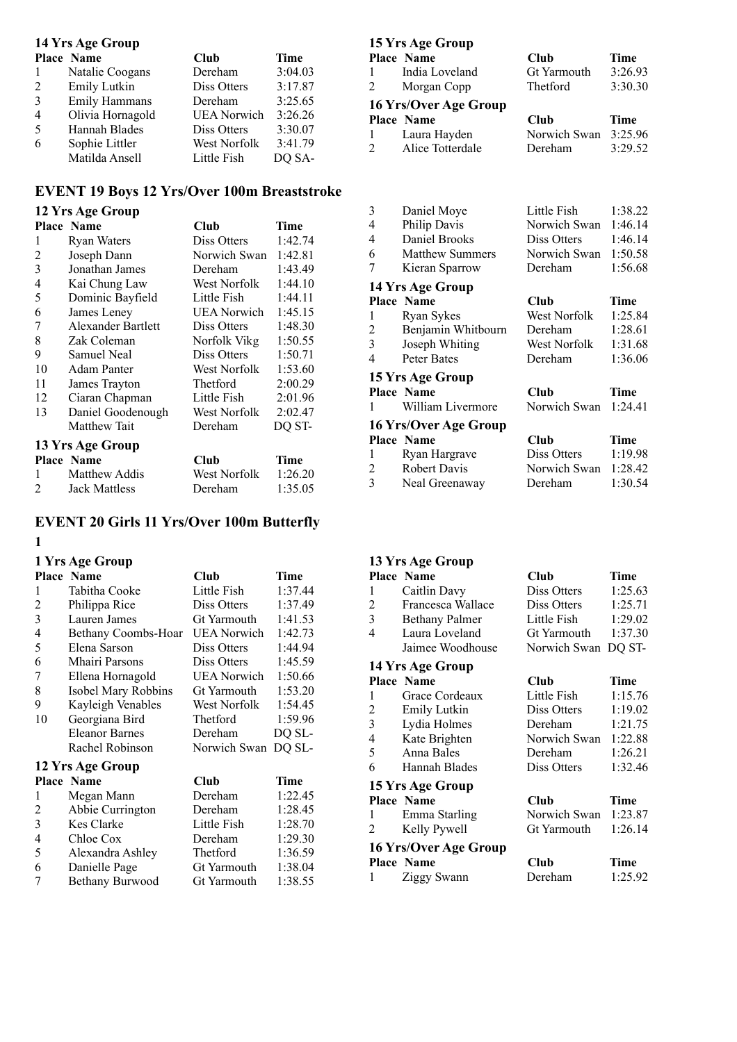#### **14 Yrs Age Group**

|                | Place Name           | Club               | Time    |
|----------------|----------------------|--------------------|---------|
| 1              | Natalie Coogans      | Dereham            | 3:04.03 |
| 2              | Emily Lutkin         | Diss Otters        | 3:17.87 |
| $\mathcal{E}$  | <b>Emily Hammans</b> | Dereham            | 3:25.65 |
| $\overline{4}$ | Olivia Hornagold     | <b>UEA</b> Norwich | 3:26.26 |
| -5             | Hannah Blades        | Diss Otters        | 3:30.07 |
| 6              | Sophie Littler       | West Norfolk       | 3:41.79 |
|                | Matilda Ansell       | Little Fish        | DQ SA-  |

## **EVENT 19 Boys 12 Yrs/Over 100m Breaststroke**

# **12 Yrs Age Group**

|                | <b>Place Name</b>    | Club                | Time    |
|----------------|----------------------|---------------------|---------|
| 1              | <b>Ryan Waters</b>   | Diss Otters         | 1:42.74 |
| 2              | Joseph Dann          | Norwich Swan        | 1:42.81 |
| 3              | Jonathan James       | Dereham             | 1:43.49 |
| 4              | Kai Chung Law        | West Norfolk        | 1:44.10 |
| 5              | Dominic Bayfield     | Little Fish         | 1:44.11 |
| 6              | James Leney          | <b>UEA</b> Norwich  | 1:45.15 |
| 7              | Alexander Bartlett   | Diss Otters         | 1:48.30 |
| 8              | Zak Coleman          | Norfolk Vikg        | 1:50.55 |
| 9              | Samuel Neal          | Diss Otters         | 1:50.71 |
| 10             | Adam Panter          | West Norfolk        | 1:53.60 |
| 11             | James Trayton        | Thetford            | 2:00.29 |
| 12             | Ciaran Chapman       | Little Fish         | 2:01.96 |
| 13             | Daniel Goodenough    | <b>West Norfolk</b> | 2:02.47 |
|                | Matthew Tait         | Dereham             | DQ ST-  |
|                | 13 Yrs Age Group     |                     |         |
|                | <b>Place Name</b>    | Club                | Time    |
| 1              | Matthew Addis        | West Norfolk        | 1:26.20 |
| $\mathfrak{D}$ | <b>Jack Mattless</b> | Dereham             | 1:35.05 |

## **EVENT 20 Girls 11 Yrs/Over 100m Butterfly**

#### 

#### **1 Yrs Age Group**

|                  | <b>Place Name</b>     | Club                | Time    |
|------------------|-----------------------|---------------------|---------|
| 1                | Tabitha Cooke         | Little Fish         | 1:37.44 |
| 2                | Philippa Rice         | Diss Otters         | 1:37.49 |
| 3                | Lauren James          | Gt Yarmouth         | 1:41.53 |
| $\overline{4}$   | Bethany Coombs-Hoar   | <b>UEA Norwich</b>  | 1:42.73 |
| 5                | Elena Sarson          | Diss Otters         | 1:44.94 |
| 6                | Mhairi Parsons        | Diss Otters         | 1:45.59 |
| 7                | Ellena Hornagold      | UEA Norwich         | 1:50.66 |
| 8                | Isobel Mary Robbins   | Gt Yarmouth         | 1:53.20 |
| 9                | Kayleigh Venables     | West Norfolk        | 1:54.45 |
| 10               | Georgiana Bird        | Thetford            | 1:59.96 |
|                  | <b>Eleanor Barnes</b> | Dereham             | DQ SL-  |
|                  | Rachel Robinson       | Norwich Swan DQ SL- |         |
| 12 Yrs Age Group |                       |                     |         |
|                  | <b>Place Name</b>     | Club                | Time    |
| 1                | Megan Mann            | Dereham             | 1:22.45 |
| 2                | Abbie Currington      | Dereham             | 1:28.45 |
| 3                | <b>Kes Clarke</b>     | Little Fish         | 1:28.70 |
| 4                | Chloe Cox             | Dereham             | 1:29.30 |
| 5                | Alexandra Ashley      | Thetford            | 1:36.59 |
| $\epsilon$       | ה וו ה                |                     | 1.20.04 |

6 Danielle Page Gt Yarmouth 1:38.04<br>7 Bethany Burwood Gt Yarmouth 1:38.55 Bethany Burwood

#### **15 Yrs Age Group**

|                | <b>Place Name</b>     | Club               | Time    |
|----------------|-----------------------|--------------------|---------|
| $\mathbf{1}$   | India Loveland        | <b>Gt Yarmouth</b> | 3:26.93 |
| 2              | Morgan Copp           | Thetford           | 3:30.30 |
|                | 16 Yrs/Over Age Group |                    |         |
|                | <b>Place Name</b>     | Club               | Time    |
| -1             | Laura Hayden          | Norwich Swan       | 3:25.96 |
| $\overline{2}$ | Alice Totterdale      | Dereham            | 3:29.52 |
|                |                       |                    |         |

| 3                     | Daniel Moye            | Little Fish  | 1:38.22 |
|-----------------------|------------------------|--------------|---------|
| 4                     | Philip Davis           | Norwich Swan | 1:46.14 |
| 4                     | Daniel Brooks          | Diss Otters  | 1:46.14 |
| 6                     | <b>Matthew Summers</b> | Norwich Swan | 1:50.58 |
| 7                     | Kieran Sparrow         | Dereham      | 1:56.68 |
|                       | 14 Yrs Age Group       |              |         |
|                       | <b>Place Name</b>      | Club         | Time    |
| 1                     | Ryan Sykes             | West Norfolk | 1:25.84 |
| 2                     | Benjamin Whitbourn     | Dereham      | 1:28.61 |
| 3                     | Joseph Whiting         | West Norfolk | 1:31.68 |
| 4                     | Peter Bates            | Dereham      | 1:36.06 |
|                       | 15 Yrs Age Group       |              |         |
|                       | <b>Place Name</b>      | Club         | Time    |
| 1                     | William Livermore      | Norwich Swan | 1:24.41 |
| 16 Yrs/Over Age Group |                        |              |         |
|                       | Place Name             | Club         | Time    |
| 1                     | Ryan Hargrave          | Diss Otters  | 1:19.98 |
| 2                     | Robert Davis           | Norwich Swan | 1:28.42 |
| 3                     | Neal Greenaway         | Dereham      | 1:30.54 |
|                       |                        |              |         |

#### **13 Yrs Age Group**

|                | Place Name            | Club                | Time    |
|----------------|-----------------------|---------------------|---------|
| 1              | Caitlin Davy          | Diss Otters         | 1:25.63 |
| $\overline{2}$ | Francesca Wallace     | Diss Otters         | 1:25.71 |
| 3              | <b>Bethany Palmer</b> | Little Fish         | 1:29.02 |
| 4              | Laura Loveland        | Gt Yarmouth         | 1:37.30 |
|                | Jaimee Woodhouse      | Norwich Swan DQ ST- |         |
|                | 14 Yrs Age Group      |                     |         |
|                | <b>Place Name</b>     | Club                | Time    |
| 1              | Grace Cordeaux        | Little Fish         | 1:15.76 |
| 2              | Emily Lutkin          | Diss Otters         | 1:19.02 |
| 3              | Lydia Holmes          | Dereham             | 1:21.75 |

| $\overline{4}$        | Kate Brighten     | Norwich Swan | 1:22.88 |  |
|-----------------------|-------------------|--------------|---------|--|
| 5                     | Anna Bales        | Dereham      | 1:26.21 |  |
| 6                     | Hannah Blades     | Diss Otters  | 1:32.46 |  |
| 15 Yrs Age Group      |                   |              |         |  |
|                       | <b>Place Name</b> | Club         | Time    |  |
| 1                     | Emma Starling     | Norwich Swan | 1:23.87 |  |
| $\mathbf{2}$          | Kelly Pywell      | Gt Yarmouth  | 1:26.14 |  |
| 16 Yrs/Over Age Group |                   |              |         |  |
|                       | <b>Place Name</b> | Club         | Time    |  |
| $\mathbf{1}$          | Ziggy Swann       | Dereham      | 1:25.92 |  |